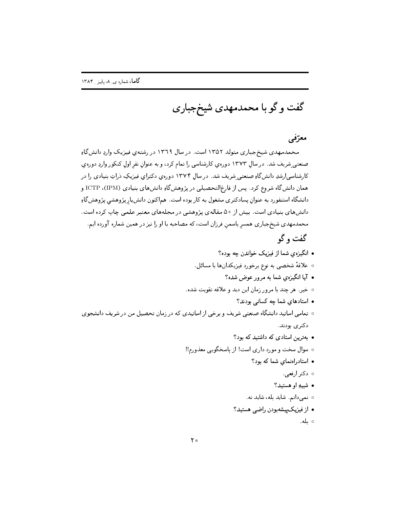گفت و گو با محمدمهدی شیخجباری

## معرّفی

محمدمهدی شیخجباری متولد ۱۳۵۲ است. در سال ۱۳٦۹ در رشتهی فیزیک واردِ دانشگاهِ صنعتی شریف شد. در سال ۱۳۷۳ دورهی کارشناسی را تمام کرد، و به عنوان نفر اول کنکور واردِ دورهی کارشناسی ارشدِ دانش گاهِ صنعتی شریف شد. در سال ۱۳۷۴ دوره ی دکترای فیزیکِ دراتِ بنیادی را در همان دانشگاه شروع کرد . پس از فارغ|لتحصیلی در پژوهشگاهِ دانشهای بنیادی ICTP ، (IPM) و دانشگاه استنفورد به عنوان پسادکتری مشغول به کار بوده است. هماکنون دانش پار پژوهشی پژوهش گاءِ دانشهای بنیادی است. بیش از ۵۰ مقالهی پژوهشی در مجلههای معتبر علمی چاپ کرده است. محمدمهدی شیخجباری همسر یاسمن فرزان است، که مصاحبه با او را نیز در همین شماره آورده ایم. گفت و گو

• انگیزهی شما از فیزیک خواندن چه بوده؟ ه علاقهٔ شخصی به نوع برخورد فیزیکدانها با مسائل. • آیا انگیزهی شما به مرور عوض شده؟ ○ خير. هر چند با مرور زمان اين ديد و علاقه تقويت شده. • استادهای شما چه کسانی بودند؟ ○ تمامی اساتید دانشگاه صنعتی شریف و برخی از اساتیدی که در زمان تحصیل من در شریف دانشجوی دکتر ی بودند. • بهترین استادی که داشتید که بود؟ ٥ سوال سخت و مورد داري است! از پاسخگويي معذورم!! • استادراهنمای شما که بود؟ ہ **دکتر ارفع**ی. • شبيهِ او هستيد؟ ○ نمىدانم. شايد بله، شايد نه. • از فیزیک پیشهبودن راضبی هستید؟ ⊙بله.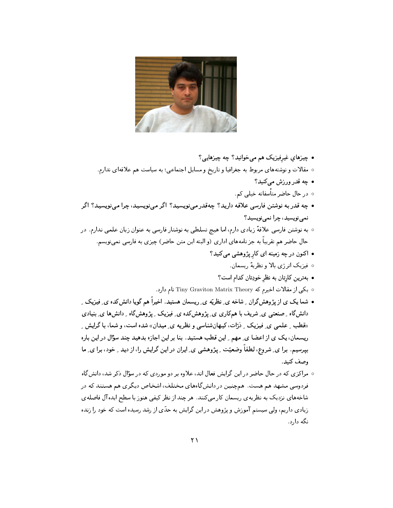

- چیزهای غیرفیزیک هم می خوانید؟ چه چیزهایی؟
- ٥ مقالات و نوشتههای مربوط به جغرافیا و تاریخ و مسایل اجتماعی؛ به سیاست هم علاقهای ندارم.
	- چه قدر ورزش مېڭنيد؟
	- در حال حاضر متأسفانه خیلی کم.
- چه قدر به نوشتن فارسی علاقه دارید؟ چهقدر می;نویسید؟ اگر می;نویسید، چرا می;نویسید؟ اگر نمي نويسيد، چرا نمي نويسيد؟
- به نوشتن فارسی علاقهٔ زیادی دارم، اما هیچ تسلطی به نوشتار فارسی به عنوان زبان علمی ندارم. در حال حاضر هم تقریباً به جز نامههای اداری (و البته این متن حاضر) چیزی به فارسی نمی،نویسم.
	- اکنون در چه زمینه ای کار پژوهشی میکنید؟
		- فيزيک انرژي بالا و نظريهٔ ريسمان.
		- بهترین کارتان به نظر خودِتان کدام است؟
	- ه یکی از مقالات اخیرم که Tiny Graviton Matrix Theory نام دارد.
- شما یک ی از پژوهشگران <sub>-</sub> شاخه ی ِ نظریّه ی ِ ریسمان هستید. اخیراً هم گویا دانش *کد*ه ی ِ فیزیک ِ دانشگاه ِ صنعتبی ی ِ شریف با همکاری ی ِ پژوهشکده ی ِ فیزیک ِ پژوهشگاه ِ دانشها ی ِ بنیادی «قطب ِ علمبی ی ِ فیزیک ِ زرّات، کیهان شناسی و نظریه ی ِ میدان» شده است، و شما، باگرایش ِ ریسمان، یک ی از اعضا ی ِ مهم ِ این قطب هستید. بنا بر این اجازه بدهید چند سؤال در این باره بیرسیم. برا ی ِ شروع، لطفاً وضعیّت ِ پژوهشی ی ِ ایران در این گرایش را، از دید ِ خود، برا ی ِ ما وصف كنيد.
- مراکزی که در حال حاضر در این گرایش فعال اند، علاوه بر دو موردی که در سؤال ذکر شد، دانشگاه فردوسی مشهد هم هست. همچنین در دانشگاههای مختلف، اشخاص دیگری هم هستند که در شاخههای نزدیک به نظریهی ریسمان کار میکنند. هر چند از نظر کیفی هنوز با سطح ایده آل فاصلهی زیادی داریم، ولی سیستم آموزش و پژوهش در این گرایش به حدّی از رشد رسیده است که خود را زنده نگه دارد.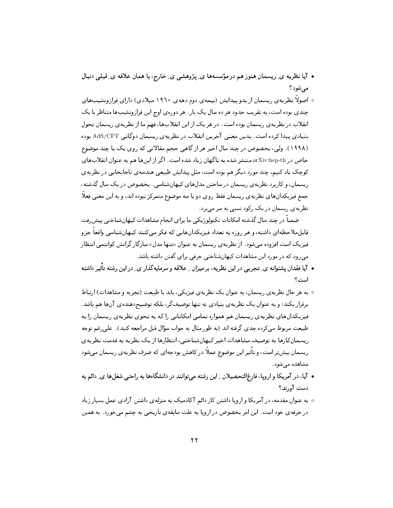- آیا نظریه ی ِ ریسمان هنوز هم در مؤسسهها ی ِ پژوهشی ی ِ خارج، با همان علاقه ی ِ قبلی دنبال مرشود؟
- ه اصولاً نظریهی ریسمان از بدو پیدایش (نیمهی دوم دههی ۱۹٦۰ میلادی) دارای فرازونشیبهای چندی بوده است، به تقریب حدود هر ده سال یک بار . هر دورهی اوج این فرازونشیبها متناظر با یک انقلاب در نظریهی ریسمان بوده است. در هر یک از این انقلابها، فهم ما از نظریهی ریسمان تحول بنیادی پیدا کرده است. بدین معنی آخرین انقلاب در نظریهی ریسمان دوگانی AdS/CFT بوده (۱۹۹۸). ولی، بخصوص در چند سال اخیر هر از گاهی حجم مقالاتی که روی یک یا چند موضوع خاص در arXiv:hep-th منتشر شده به ناگهان زیاد شده است. اگر از اینها هم به عنوان انقلابهای کوچک یاد کنیم، چند مورد دیگر هم بوده است، مثل پیدایش طبیعی هندسه ی ناجابجایی در نظریه ی ریسمان، و کاربرد نظریهی ریسمان در ساختن مدلهای کیهانشناسی. بخصوص در یک سال گذشته، جمع فیزیکدانهای نظریهی ریسمان فقط روی دو یا سه موضوع متمرکز نبوده اند، و به این معنی فعلاً نظریه ی ریسمان در یک رکود نسبی به سر می برد.

ضمناً در چند سال گذشته امکانات تکنولوژیکی ما برای انجام مشاهدات کیهانشناختی پیش رفت قابل.ملاحظهای داشته، و هر روزه به تعداد فیزیکدانهایی که فکر میکنند کیهانشناسی واقعاً جزو فیزیک است افزوده میشود . از نظریهی ریسمان به عنوان «تنها مدل» سازگار گرانش کوانتمی انتظار می رود که در مورد این مشاهدات کیهانشناختی حرفی برای گفتن داشته باشد.

- آیا فقدان پشتوانه ی ِ تجربی در این نظریه، بر میزان ِ علاقه و سرمایهگذار ی ِ در این رشته تأثیر داشته است ؟
- ۰ به هر حال نظریه ی ریسمان، به عنوان یک نظریه ی فیزیکی، باید با طبیعت (تجربه و مشاهدات) ارتباط برقرار بکند؛ و به عنوان یک نظریهی بنیادی نه تنها توصیفگر، بلکه توضیح(هندهی آنها هم باشد. فیزیکدانهای نظریه ی ریسمان هم همواره تمامی امکاناتی را که به نحوی نظریه ی ریسمان را به طبیعت مربوط می کرده جدی گرفته اند (به طور مثال به جواب سؤال قبل مراجعه کنید). علی رغم توجه ریسمان کارها به توصیف مشاهدات اخیر کیهانشناختی، انتظارها از یک نظریه به قدمت نظریهی ریسمان بیشتر است، و تأثیر این موضوع عملاً در کاهش بودجهای که صرف نظریهی ریسمان میشود مشاهده مے شود.
- آیا، در آمریکا و اروپا، فارغ|لتحصیلان ِ این رشته میتوانند در دانشگاهها به راحتی شغلها ی ِ دائم به دست آورند؟
- ۰ به عنوان مقدمه، در آمریکا و اروپا داشتن کار دائم آکادمیک به منزلهی داشتن آزادی عمل بسیار زیاد در حرفه ی خود است. این امر بخصوص در اروپا به علت سابقه ی تاریخی به چشم میخورد. به همین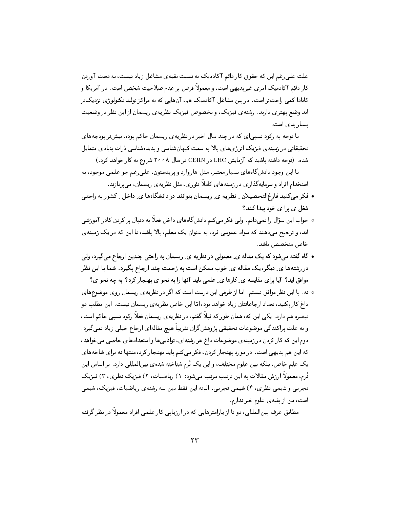علت علمی رغم این که حقوق کار دائم آکادمیک به نسبت بقیهی مشاغل زیاد نیست، به دست آوردن کار دائم آکادمیک امری غیربدیهی است، و معمولاً فرض بر عدم صلاحیت شخص است. در آمریکا و کانادا کمی راحتتر است. در بین مشاغل آکادمیک هم، آنهایی که به مراکز تولید تکنولوژی نزدیکتر اند وضع بهتری دارند. رشتهی فیزیک، و بخصوص فیزیک نظریهی ریسمان از این نظر در وضعیت بسیار بدی است.

با توجه به رکود نسبیای که در چند سال اخیر در نظریهی ریسمان حاکم بوده، بیشتر بودجههای تحقیقاتی در زمینهی فیزیک انرژیهای بالا به سمت کیهانشناسی و پدیدهشناسی ذرات بنیادی متمایل شده. (توجه داشته باشید که آزمایش LHC در CERN در سال ۲۰۰۸ شروع به کار خواهد کرد.)

با این وجود دانش گاههای بسیار معتبر، مثل هاروارد و پرینستون، علی رغم جو علمی موجود، به استخدام افراد و سرمایهگذاری در زمینههای کاملاً تئوری، مثل نظریهی ریسمان، میپردازند.

- فکر میکنید فارغ|لتحصیلان ِ نظریه ی ِ ریسمان بتوانند در دانشگاهها ی ِ داخل ِ کشور به راحتی شغل ي برا ي خود پيدا كنند؟
- جواب این سؤال را نمیدانم. ولی فکر میکنم دانشگاههای داخل فعلاً به دنبال پر کردن کادر آموزشی اند، و ترجیح میدهند که سواد عمومی فرد، به عنوان یک معلم، بالا باشد، تا این که در یک زمینهی خاص متخصص باشد.
- گاه گفته میشود که یک مقاله ی ِ معمولی در نظریه ی ِ ریسمان به راحتی چندین ارجاع میگیرد، ولی در رشتهها ی ِ دیگر، یک مقاله ی ِ خوب ممکن است به زحمت چند ارجاع بگیرد. شما با این نظر موافق اید؟ آیا برای مقایسه ی ِ کارها ی ِ علمی باید آنها را به نحو ی بهنجار کرد؟ به چه نحو ی؟
- نه. با این نظر موافق نیستم. اما از طرفی این درست است که اگر در نظریه ی ریسمان روی موضوعهای داغ کار بکنید، تعداد ارجاعاتتان زیاد خواهد بود، امّا این خاص نظریه ی ریسمان نیست. این مطلب دو تبصره هم دارد . یکی این که ، همان طور که قبلاً گفتم، در نظریه ی ریسمان فعلاً رکود نسبی حاکم است، و به علت یراکندگی موضوعات تحقیقی پژوهشگران تقریباً هیچ مقالهای ارجاع خیلی زیاد نمیگیرد . دوم این که کار کردن در زمینهی موضوعات داغ هر رشتهای، تواناییها و استعدادهای خاصی میخواهد، که این هم بدیهی است. در مورد بهنجار کردن، فکر میکنم باید بهنجار کرد، منتها نه برای شاخههای یک علم خاص، بلکه بین علوم مختلف، و این یک نُرم شناخته شدهی بینالمللی دارد. بر اساس این نُرم، معمولاً ارزش مقالات به این ترتیب مرتب می شود : ۱) ریاضیات، ۲) فیزیک نظری، ۳) فیزیک تجربی و شیمی نظری، ۴) شیمی تجربی . البته این فقط بین سه رشتهی ریاضیات، فیزیک، شیمی است، من ازبقیهی علوم خبر ندارم.

مطابق عرف بینالمللی، دو تا از پارامترهایی که در ارزیابی کار علمی افراد معمولاً در نظر گرفته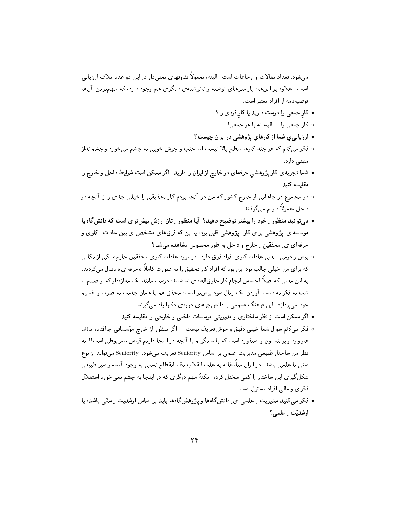می شود، تعداد مقالات و ارجاعات است. البته، معمولاً تفاوتهای معنی دار در این دو عدد ملاک ارزیابی است. علاوه بر اینها، پارامترهای نوشته و نانوشتهی دیگری هم وجود دارد، که مهمترین آنها توصيهنامه از افراد معتبر است.

- کار جمعی را دوست دارید یا کار فردی را؟
	- ه کار جمعی را البته نه با هر جمعی!
- ارزیابی ی شما از کارهای پژوهشی در ایران چیست؟
- فكر مي كنم كه هر چند كارها سطح بالا نيست اما جنب و جوش خوبي به چشم ميخورد و چشمانداز مثبتی دارد.
- شما تجربه ی کار پژوهشی حرفهای در خارج از ایران را دارید. اگر ممکن است شرایطِ داخل و خارج را مقايسه كنىد.
- در مجموع در جاهایی از خارج کشور که من در آنجا بودم کار تحقیقی را خیلی جدیتر از آنچه در داخل معمولاً داريم مي گرفتند.
- میتوانید منظور ِ خود را بیشتر توضیح دهید؟ آیا منظور ِ تان ارزش بیشتری است که دانشگاه یا موسسه ی ِ پژوهشی برای کار ِ پژوهشی قابل بود، یا این که فرقهای مشخص ی بین عادات ِ کاری و حرفهای ی ِ محققین ِ خارج و داخل به طور محسوس مشاهده میشد؟
- بیشتر دومی. یعنی عادات کاری افراد فرق دارد. در مورد عادات کاری محققین خارج، یکی از نکاتی که برای من خیلی جالب بود این بود که افراد کار تحقیق را به صورت کاملاً «حرفهای» دنبال می کردند، به این معنی که اصلاً احساس انجام کار خارقالعادی نداشتند، درست مانند یک مغازهدار که از صبح تا شب به فکر به دست آوردن یک ریال سود بیشتر است، محقق هم با همان جدیت به ضرب و تقسیم خود می پردازد. این فرهنگ عمومی را دانشجوهای دورهی دکترا یاد می گیرند.
	- اگر ممکن است از نظر ساختاری و مدیریتی موسساتِ داخلبی و خارجبی را مقایسه کنید.
- فكر مى كنم سوال شما خيلى دقيق و خوشتعريف نيست اگر منظور از خارج مؤسساتى جاافتاده مانند هاروارد و پرینستون و استفورد است که باید بگویم با آنچه در اینجا داریم قیاس نامربوطی است!! به نظر من ساختار طبيعي مديريت علمي بر اساس Seniority تعريف مي شود. Seniority مي تواند از نوع سنبی یا علمی باشد. در ایران متأسفانه به علت انقلاب یک انقطاع نسلبی به وجود آمده و سیر طبیعی شکل گیری این ساختار را کمی مختل کرده. نکتهٔ مهم دیگری که در اینجا به چشم نمیخورد استقلال فکری و مالی افراد مسئول است.
- فکر مے کنید مدیریت ۔ علمے یی ِ دانش گاہھا و پژوهش گاہها باید بر اساس ارشدیت ۔ سنّی باشد، پا ارشديّت عطمى؟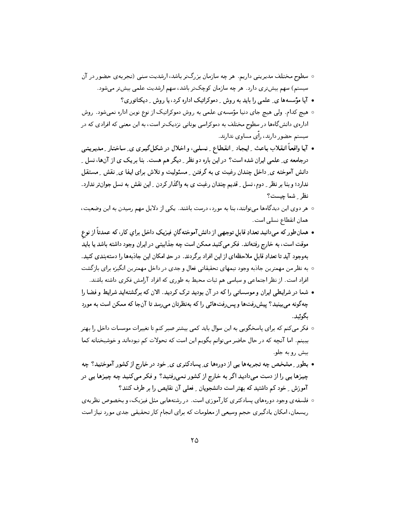- سطوح مختلف مدیریتی داریم. هر چه سازمان بزرگتر باشد، ارشدیت سنی (تجربه ی حضور در آن سیستم) سهم بیش تری دارد . هر چه سازمان کوچک تر باشد، سهم ارشدیت علمی بیش تر می شود .
	- آیا مؤسسهها ی ِ علمی را باید به روش ِ دموکراتیک اداره کرد، یا روش ِ دیکتاتوری؟
- هیچ کدام. ولی هیچ جای دنیا مؤسسهی علمی به روش دموکراتیک از نوع نوین اداره نمیشود . روش ادارهی دانش&اهها در سطوح مختلف به دموکراسی یونانی نزدیکتر است، به این معنی که افرادی که در سیستم حضور دارند، رأی مساوی ندارند.
- آیـا واقـعـاً انـقـلاب بـاعـث ِ ايـجـاد ِ انـقـطـاع ِ نـسـلـي، و اخـلال در شكـلگـيـرى ى ِ سـاخـتـار ِ مـديـريـتمى درجامعه ی ِ علمی ایران شده است؟ در این باره دو نظر ِ دیگر هم هست. بنا بر یک ی از آنها، نسل ِ دانش آموخته ی ِ داخل چندان رغبت ی به گرفتن ِ مسئولیت و تلاش برای ایفا ی ِ نقش ِ مستقل ندارد؛ و بنا بر نظر ِ ِ دوم، نسل ِ قدیم چندان رغبت ی به واگذار کردن ِ این نقش به نسل جوانتر ندارد. نظر ِ شما چیست؟
- ٥ هر دوى اين ديدگاهها مىتوانند، بنا به مورد، درست باشند. يكى از دلايل مهم رسيدن به اين وضعيت، همان انقطاع نسلی است.
- همانطور که می دانید تعدادِ قابل توجهی از دانش آموختهگانِ فیزیکِ داخل برایِ کار، که عمدتاً از نوع موقت است، به خارج رفتهاند. فکر می کنید ممکن است چه جذابیتی در ایران وجود داشته باشد یا باید بهوجود آيد تا تعدادِ قابل ملاحظهاي از اين افراد برگردند. در حدِ امكان اين جاذبهها را دستهبندي كنيد.
- به نظر من مهمترين جاذبه وجود تيمهاي تحقيقاتي فعال و جدي در داخل مهمترين انگيزه براي بازگشت افراد است. از نظر اجتماعی و سیاسی هم ثبات محیط به طوری که افراد آرامش فکری داشته باشند.
- شما در شرایطبی ایران و موسساتبی را که در آن بودید ترک کردید. الان که برگشتهاید شرایط و فضا را چهگونه می بینید؟ پیش رفتها و پس رفتهائی را که بهنظرتان می رسد تا آنجا که ممکن است به مورد ىگوئىد.
- فكر مي كنم كه براي ياسخگويي به اين سوال بايد كمي بيشتر صبر كنم تا تغييرات موسسات داخل را بهتر ببینم. اما آنچه که در حال حاضر میتوانم بگویم این است که تحولات کم نبودهاند و خوشبختانه کما بیش رو به جلو.
- بطور \_ مشخص چه تجربهها يي از دورهها ي ِ پسادكتري ي ِ خود در خارج از كشور آموختيد؟ چه چیزها یی را از دست می دادید اگر به خارج از کشور نمی رفتید؟ و فکر می کنید چه چیزها یی در آموزش ِ خود کم داشتید که بهتر است دانشجویان ِ فعلی آن نقایص را بر طرف کنند؟
- ۰ فلسفه ی وجود دورههای پسادکتری کارآموزی است. در رشتههایی مثل فیزیک، و بخصوص نظریه ی ریسمان، امکان یادگیری حجم وسیعی از معلومات که برای انجام کار تحقیقی جدی مورد نیاز است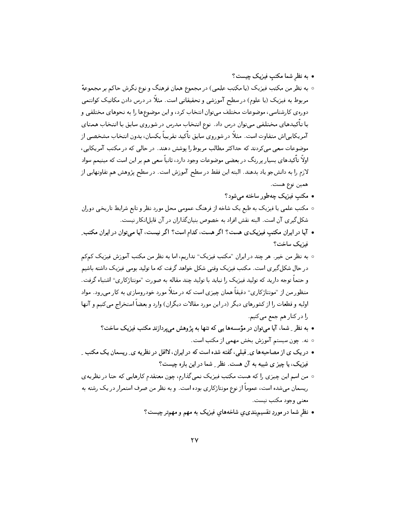• به نظر شما مکتب فیزیک چیست؟

- ٥ به نظر من مکتب فیزیک (یا مکتب علمی) در مجموع همان فرهنگ و نوع نگرش حاکم بر مجموعهٔ مربوط به فیزیک (یا علوم) در سطح آموزشی و تحقیقاتی است. مثلاً در درس دادن مکانیک کوانتمی دورهی کارشناسی، موضوعات مختلف می توان انتخاب کرد، و این موضوعها را به نحوهای مختلفی و با تأکیدهای مختلفی میتوان درس داد. نوع انتخاب مدرس در شوروی سابق با انتخاب همتای آمریکایییاش متفاوت است. مثلاً در شوروی سابق تأکید تقریباً یکسان، بدون انتخاب مشخصی از موضوعات سعی میکردند که حداکثر مطالب مربوط را یوشش دهند. در حالی که در مکتب آمریکایی، اولاً تأکیدهای بسیار یررنگ در بعضی موضوعات وجود دارد، ثانیاً سعی هم بر این است که مینیمم سواد لازم را به دانشجو ياد بدهند. البته اين فقط در سطح آموزش است. در سطح پژوهش هم تفاوتهايي از همين نوع هست.
	- مکتب فیزیک چهطور ساخته میشود؟
- مکتب علمی یا فیزیک به طبع یک شاخه از فرهنگ عمومی محل مورد نظر و تابع شرایط تاریخی دوران شکل گیری آن است. البته نقش افراد به خصوص بنیانگذاران در آن قابلانکار نیست.
- آیا در ایران مکتب فیزیک ی هست؟ اگر هست، کدام است؟ اگر نیست، آیا میتوان در ایران مکتب ِ فيزيک ساخت؟
- ٥ به نظر من خير. هر چند در ايران "مكتب فيزيك" نداريم، اما به نظر من مكتب آموزش فيزيك كمكم در حال شکل گیری است. مکتب فیزیک وقتبی شکل خواهد گرفت که ما تولید بومی فیزیک داشته باشیم و حتماً توجه دارید که تولید فیزیک را نباید با تولید چند مقاله به صورت "مونتاژکاری" اشتباه گرفت. منظور من از "مونتاژکاری" دقیقاً همان چیزی است که در مثلاً مورد خودروسازی به کار می رود. مواد اولیه و قطعات را از کشورهای دیگر (در این مورد مقالات دیگران) وارد و بعضاً استخراج می کنیم و آنها را در کنار هم جمع میکنیم.
	- به نظر ِ شما، آیا میتوان در مؤسسهها یی که تنها به پژوهش می پر دازند مکتب فیزیک ساخت؟
		- ۰ نه. چون سیستم آموزش بخش مهمی از مکتب است.
- در یک ی از مصاحبهها ی ِ قبلی، گفته شده است که در ایران، لااقل در نظریه ی ِ ریسمان یک مکتب ِ فیزیک، یا چیز ی شبیه به آن هست. نظر ِ شما در این باره چیست؟
- من اسم این چیزی را که هست مکتب فیزیک نمی گذارم، چون معتقدم کارهایی که حتا در نظریهی ریسمان میشده است، عموماً از نوع مونتاژکاری بوده است. و به نظر من صرف استمرار در یک رشته به معنی وجود مکتب نیست.
	- نظر شما در موردِ تقسیم بندی ی شاخههای فیزیک به مهم و مهمتر چیست؟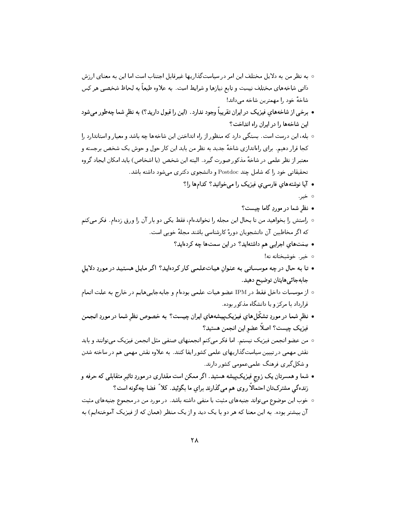- به نظر من به دلایل مختلف این امر در سیاستگذاریها غیرقابل اجتناب است اما این به معنای ارزش ذاتی شاخههای مختلف نیست و تابع نیازها و شرایط است. به علاوه طبعاً به لحاظ شخصی هر کس شاخهٔ خود را مهمترین شاخه می داند!
- برخی از شاخههای فیزیک در ایران تقریباً وجود ندارد. (این را قبول دارید؟) به نظر شما چهطور می شود این شاخهها را در ایران راه انداخت؟
- بله، این درست است. بستگی دارد که منظور از راه انداختن این شاخهها چه باشد و معیار و استاندارد را کجا قرار دهیم. برای راهاندازی شاخهٔ جدید به نظر من باید این کار حول و حوش یک شخص برجسته و معتبر از نظر علمی در شاخهٔ مذکور صورت گیرد. البته این شخص (یا اشخاص) باید امکان ایجاد گروه تحقیقاتی خود را که شامل چند Postdoc و دانشجوی دکتری می شود داشته باشد.
	- آیا نوشتههایِ فارسی ی فیزیک را می خوانید؟ کدامها را؟
		- ∘ خير.
		- نظر شما در موردِ گاما چیست؟
- راستش را بخواهید من تا بحال این مجله را نخواندهام، فقط یکی دو بار آن را ورق زدهام. فکر میکنم كه اگر مخاطبین آن دانشجویان دورهٔ كارشناسی باشند مجلهٔ خوبی است.
	- سِمَتهای اجرایی هم داشتهاید؟ در این سمتها چه کردهاید؟
		- ە خير خوشبختانه نه!
- تا به حال در چه موسساتی به عنوان هیباتعلمی کار کردهاید؟ اگر مایل هستید در موردِ دلایل جابەجائىھايتان توضيح دھيد.
- از موسسات داخل فقط در IPM عضو هيات علمي بودهام و جابهجاييههايم در خارج به علت اتمام قرارداد با مرکز و یا دانشگاه مذکور بوده.
- نظر شما در موردِ تشکّلهای فیزیکپیشههای ایران چیست؟ به خصوص نظر شما در موردِ انجمن فيزيک چيست؟ اصلاً عضو اين انجمن هستيد؟
- من عضو انجمن فيزيک نيستم. اما فکر مي کنم انجمنهاي صنفي مثل انجمن فيزيک مي توانند و بايد نقش مهمی در تبیین سیاستگذاریهای علمی کشور ایفا کنند. به علاوه نقش مهمی هم در ساخته شدن و شکل گیری فرهنگ علمی عمومی کشور دارند.
- شما و همسرتان یک زوج فیزیکپیشه هستید. اگر ممکن است مقداری در موردِ تاثیر متقابلی که حرفه و زندهگی مشترکتان احتمالاً روی هم میگذارند برای ما بگوئید. کلاً فضا چهگونه است؟
- ۰ خوب این موضوع میتواند جنبههای مثبت یا منفی داشته باشد. در مورد من در مجموع جنبههای مثبت آن بیشتر بوده . به این معنا که هر دو با یک دید و از یک منظر (همان که از فیزیک آموختهایم) به